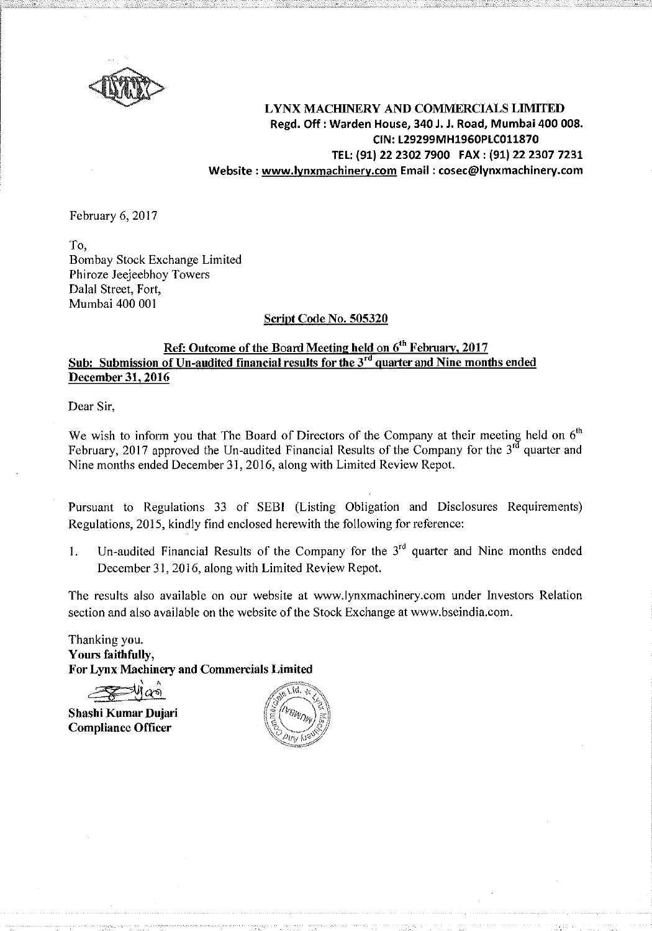

LYNX MACHINERY AND COMMERCIALS LIMITED Regd. Off: Warden House, 340 J. J. Road, Mumbai 400 008. CIN: L29299MH1960PLC011870 TEL: (91) 22 2302 7900 FAX : (91) 22 2307 7231 Website : www.lynxmachinery.com Email : cosec@lynxmachinery.com

February 6, 2017

To, Bombay Stock Exchange Limited Phiroze Jeejeebhoy Towers Dalal Street, Fort, Mumbai 400 001

## Script Code No. 505320

# Ref: Outcome of the Board Meeting held on 6<sup>th</sup> February, 2017 Sub: Submission of Un-audited financial results for the  $3<sup>rd</sup>$  quarter and Nine months ended December 31, 2016

Dear Sir,

We wish to inform you that The Board of Directors of the Company at their meeting held on  $6<sup>th</sup>$ February, 2017 approved the Un-audited Financial Results of the Company for the  $3^{rd}$  quarter and Nine months ended December 31,2016, along with Limited Review Repot.

Pursuant to Regulations 33 of SEBI (Listing Obligation and Disclosures Requirements) Regulations, 2015, kindly find enclosed herewith the following for reference:

1. Un-audited Financial Results of the Company for the  $3<sup>rd</sup>$  quarter and Nine months ended December 31, 2016, along with Limited Review Repot.

The results also available on our website at www.lynxmachinery.com under Investors Relation section and also available on the website of the Stock Exchange at www.bseindia.com.

Thanking you. Yours faithfully, For Lynx Machinery and Commercials Limited

 $\cdot$  $\rightarrow$ 

Shashi Kumar Dujari Compliance Officer

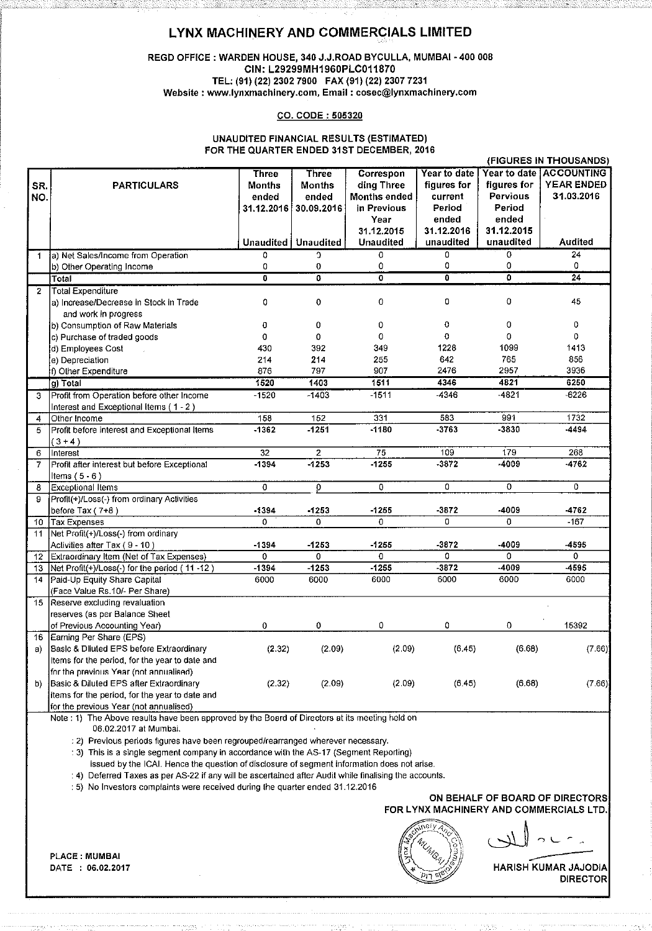## LYNX MACHINERY AND COMMERCIALS LIMITED

### REGD OFFICE :WARDEN HOUSE, 340 J.J.ROAD BYCULLA, MUMBAI • 400 008 CIN: L29299MH1960PLC011870 TEL: (91) (22) 2302 7900 FAX (91) (22) 2307 7231 **Website : www.lynxmachinery.com, Email : cosec@lynxmachinery.com**

#### CO. CODE : 505320

#### UNAUDITED FINANCIAL RESULTS (ESTIMATED) FOR THE QUARTER ENDED 31ST DECEMBER, 2016

|                |                                                                                                                                           |                           |                              |                |                |                           | ן השטמבט ווא ו חוז פ    |
|----------------|-------------------------------------------------------------------------------------------------------------------------------------------|---------------------------|------------------------------|----------------|----------------|---------------------------|-------------------------|
|                |                                                                                                                                           | Three                     | Three                        | Correspon      | Year to date   |                           | Year to date ACCOUNTING |
| SR.            | <b>PARTICULARS</b>                                                                                                                        | Months                    | <b>Months</b>                | ding Three     | figures for    | figures for               | <b>YEAR ENDED</b>       |
| NO.            |                                                                                                                                           | ended                     | ended                        | Months ended   | current        | Pervious                  | 31.03.2016              |
|                |                                                                                                                                           | 31.12.2016                | 30.09.2016                   | in Previous    | Period         | Period                    |                         |
|                |                                                                                                                                           |                           |                              | Year           | ended          | ended                     |                         |
|                |                                                                                                                                           |                           |                              | 31.12.2015     | 31.12.2016     | 31.12.2015                |                         |
|                |                                                                                                                                           |                           | <b>Unaudited   Unaudited</b> | Unaudited      | unaudited      | unaudited                 | <b>Audited</b>          |
| 1              | a) Net Sales/Income from Operation                                                                                                        | $\Omega$                  | $\Omega$                     | 0              | $\overline{0}$ | Ö                         | 24                      |
|                | b) Other Operating Income                                                                                                                 | 0                         | 0                            | 0              | 0              | 0                         | 0                       |
|                | <b>Total</b>                                                                                                                              | $\overline{\mathfrak{o}}$ | 0                            | 0              | 0              | $\overline{\mathfrak{o}}$ | $\overline{24}$         |
| $\overline{2}$ | Total Expenditure                                                                                                                         |                           |                              |                |                |                           |                         |
|                | a) Increase/Decrease in Stock in Trade                                                                                                    | 0                         | 0                            | 0              | 0              | 0                         | 45                      |
|                | and work in progress                                                                                                                      |                           |                              |                |                |                           |                         |
|                | b) Consumption of Raw Materials                                                                                                           | 0                         | 0                            | 0              | 0              | 0                         | 0                       |
|                | c) Purchase of traded goods                                                                                                               | $\Omega$                  | 0                            | 0              | 0              | $\Omega$                  | $\Omega$                |
|                | d) Employees Cost                                                                                                                         | 430                       | 392                          | 349            | 1228           | 1099                      | 1413                    |
|                | e) Depreciation                                                                                                                           | 214                       | 214                          | 255            | 642            | 765                       | 856                     |
|                | f) Other Expenditure                                                                                                                      | 876                       | 797                          | 907            | 2476           | 2957                      | 3936                    |
|                | g) Total                                                                                                                                  | 1520                      | 1403                         | 1511           | 4346           | 4821                      | 6250                    |
| 3              | Profit from Operation before other Income                                                                                                 | $-1520$                   | $-1403$                      | $-1511$        | -4346          | $-4821$                   | $-6226$                 |
|                | Interest and Exceptional Items (1-2)                                                                                                      |                           |                              |                |                |                           |                         |
| 4              | Other Income                                                                                                                              | 158                       | 152                          | 331            | 583            | 991                       | 1732                    |
| 5              | Profit before interest and Exceptional Items                                                                                              | $-1362$                   | $-1251$                      | $-1180$        | $-3763$        | -3830                     | -4494                   |
|                | $(3+4)$                                                                                                                                   |                           |                              |                |                |                           |                         |
| 6              | Interest                                                                                                                                  | 32                        | $\overline{2}$               | 75             | 109            | 179                       | 268                     |
| 7              | Profit after interest but before Exceptional                                                                                              | $-1394$                   | $-1253$                      | $-1255$        | $-3872$        | -4009                     | $-4762$                 |
|                | Items $(5 - 6)$                                                                                                                           |                           |                              |                |                |                           |                         |
| 8              | <b>Exceptional Items</b>                                                                                                                  | 0                         | o                            | $\overline{0}$ | $\overline{0}$ | $\overline{0}$            | $\overline{0}$          |
| 9              | Profit(+)/Loss(-) from ordinary Activities                                                                                                |                           |                              |                |                |                           |                         |
|                | before Tax $(7+8)$                                                                                                                        | $-1394$                   | $-1253$                      | $-1255$        | $-3872$        | -4009                     | $-4762$                 |
| 10             | <b>Tax Expenses</b>                                                                                                                       | $\Omega$                  | 0                            | 0              | $\mathbf 0$    | 0                         | $-167$                  |
| 11             | Net Profit(+)/Loss(-) from ordinary                                                                                                       |                           |                              |                |                |                           |                         |
|                | Activities after Tax (9 - 10)                                                                                                             | $-1394$                   | $-1253$                      | $-1255$        | $-3872$        | -4009                     | -4595                   |
| 12             | Extraordinary Item (Net of Tax Expenses)                                                                                                  | $\overline{0}$            | $\overline{0}$               | ö              | $\Omega$       | $\Omega$                  | $\Omega$                |
| 13             | Net Profit(+)/Loss(-) for the period (11-12)                                                                                              | $-1394$                   | $-1253$                      | $-1255$        | $-3872$        | -4009                     | -4595                   |
| 14             | Paid-Up Equity Share Capital                                                                                                              | 6000                      | 6000                         | 6000           | 6000           | 6000                      | 6000                    |
|                | (Face Value Rs.10/- Per Share)                                                                                                            |                           |                              |                |                |                           |                         |
| 15             | Reserve excluding revaluation                                                                                                             |                           |                              |                |                |                           |                         |
|                | reserves (as per Balance Sheet                                                                                                            |                           |                              |                |                |                           |                         |
|                | of Previous Accounting Year)                                                                                                              | 0                         | 0                            | 0              | 0              | 0                         | 15392                   |
| 16             | Earning Per Share (EPS)                                                                                                                   |                           |                              |                |                |                           |                         |
| a)             | Basic & Diluted EPS before Extraordinary                                                                                                  | (2.32)                    | (2.09)                       | (2.09)         | (6.45)         | (6.66)                    | (7.66)                  |
|                | Items for the period, for the year to date and                                                                                            |                           |                              |                |                |                           |                         |
|                | for the previous Year (not annualised).                                                                                                   |                           |                              |                |                |                           |                         |
| b)             | Basic & Diluted EPS after Extraordinary                                                                                                   | (2.32)                    | (2.09)                       | (2.09)         | (6.45)         | (6.68)                    | (7.66)                  |
|                |                                                                                                                                           |                           |                              |                |                |                           |                         |
|                | items for the period, for the year to date and                                                                                            |                           |                              |                |                |                           |                         |
|                | for the previous Year (not annualised)<br>Note : 1) The Above results have been approved by the Board of Directors at its meeting held on |                           |                              |                |                |                           |                         |
|                |                                                                                                                                           |                           |                              |                |                |                           |                         |

06.02.2017 at Mumbai.

: 2) Previous periods figures have been regrouped/rearranged wherever necessary.

: 3) This is a single segment company in accordance with the AS-17 (Segment Reporting)

issued by the ICAI. Hence the question of disclosure of segment information does not arise.

: 4) Deferred Taxes as per AS-22 if any will be ascertained after Audit while finalising the accounts.

: 5) No Investors complaints were received during the quarter ended 31.12.2016

PLACE : MUMBAI DATE : 06.02.2017

## ON BEHALF OF BOARD OF DIRECTORS FOR LYNX MACHINERY AND COMMERCIALS LTD.

= *ror*   $c \sim \langle c \rangle$  $\mathbb{R}^{\widehat{\text{g}}^\text{inter}_\text{V}}_{\mathbb{Z}/\mathbb{Z}/\mathbb{Z}}$  , where  $\mathbb{R}^{\widehat{\text{g}}^\text{inter}_\text{V}}$  $\mathbb{Z}_{\hat{\mathcal{O}}_{\mathcal{A}}}$  )  $\mathbb{S}^n$ 

MMERCIALS<br>
2<br>
COMMAR JAJO<br>
DIRECT KUMAR JAJODIA DIRECTOR

(FIGURES IN THOUSANDS)